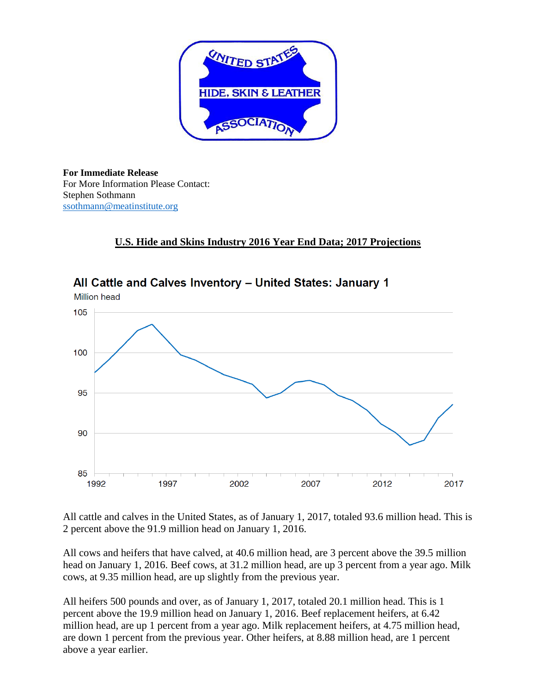

**For Immediate Release** For More Information Please Contact: Stephen Sothmann [ssothmann@meatinstitute.org](mailto:ssothmann@meatinstitute.org)

### **U.S. Hide and Skins Industry 2016 Year End Data; 2017 Projections**



All Cattle and Calves Inventory - United States: January 1

All cattle and calves in the United States, as of January 1, 2017, totaled 93.6 million head. This is 2 percent above the 91.9 million head on January 1, 2016.

All cows and heifers that have calved, at 40.6 million head, are 3 percent above the 39.5 million head on January 1, 2016. Beef cows, at 31.2 million head, are up 3 percent from a year ago. Milk cows, at 9.35 million head, are up slightly from the previous year.

All heifers 500 pounds and over, as of January 1, 2017, totaled 20.1 million head. This is 1 percent above the 19.9 million head on January 1, 2016. Beef replacement heifers, at 6.42 million head, are up 1 percent from a year ago. Milk replacement heifers, at 4.75 million head, are down 1 percent from the previous year. Other heifers, at 8.88 million head, are 1 percent above a year earlier.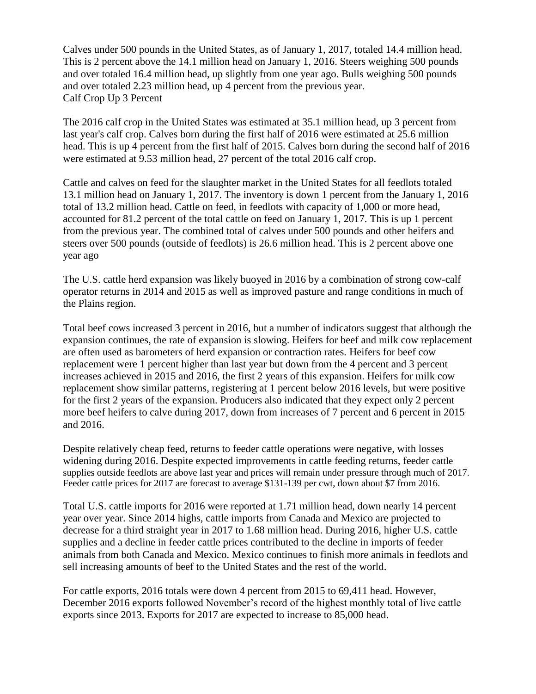Calves under 500 pounds in the United States, as of January 1, 2017, totaled 14.4 million head. This is 2 percent above the 14.1 million head on January 1, 2016. Steers weighing 500 pounds and over totaled 16.4 million head, up slightly from one year ago. Bulls weighing 500 pounds and over totaled 2.23 million head, up 4 percent from the previous year. Calf Crop Up 3 Percent

The 2016 calf crop in the United States was estimated at 35.1 million head, up 3 percent from last year's calf crop. Calves born during the first half of 2016 were estimated at 25.6 million head. This is up 4 percent from the first half of 2015. Calves born during the second half of 2016 were estimated at 9.53 million head, 27 percent of the total 2016 calf crop.

Cattle and calves on feed for the slaughter market in the United States for all feedlots totaled 13.1 million head on January 1, 2017. The inventory is down 1 percent from the January 1, 2016 total of 13.2 million head. Cattle on feed, in feedlots with capacity of 1,000 or more head, accounted for 81.2 percent of the total cattle on feed on January 1, 2017. This is up 1 percent from the previous year. The combined total of calves under 500 pounds and other heifers and steers over 500 pounds (outside of feedlots) is 26.6 million head. This is 2 percent above one year ago

The U.S. cattle herd expansion was likely buoyed in 2016 by a combination of strong cow-calf operator returns in 2014 and 2015 as well as improved pasture and range conditions in much of the Plains region.

Total beef cows increased 3 percent in 2016, but a number of indicators suggest that although the expansion continues, the rate of expansion is slowing. Heifers for beef and milk cow replacement are often used as barometers of herd expansion or contraction rates. Heifers for beef cow replacement were 1 percent higher than last year but down from the 4 percent and 3 percent increases achieved in 2015 and 2016, the first 2 years of this expansion. Heifers for milk cow replacement show similar patterns, registering at 1 percent below 2016 levels, but were positive for the first 2 years of the expansion. Producers also indicated that they expect only 2 percent more beef heifers to calve during 2017, down from increases of 7 percent and 6 percent in 2015 and 2016.

Despite relatively cheap feed, returns to feeder cattle operations were negative, with losses widening during 2016. Despite expected improvements in cattle feeding returns, feeder cattle supplies outside feedlots are above last year and prices will remain under pressure through much of 2017. Feeder cattle prices for 2017 are forecast to average \$131-139 per cwt, down about \$7 from 2016.

Total U.S. cattle imports for 2016 were reported at 1.71 million head, down nearly 14 percent year over year. Since 2014 highs, cattle imports from Canada and Mexico are projected to decrease for a third straight year in 2017 to 1.68 million head. During 2016, higher U.S. cattle supplies and a decline in feeder cattle prices contributed to the decline in imports of feeder animals from both Canada and Mexico. Mexico continues to finish more animals in feedlots and sell increasing amounts of beef to the United States and the rest of the world.

For cattle exports, 2016 totals were down 4 percent from 2015 to 69,411 head. However, December 2016 exports followed November's record of the highest monthly total of live cattle exports since 2013. Exports for 2017 are expected to increase to 85,000 head.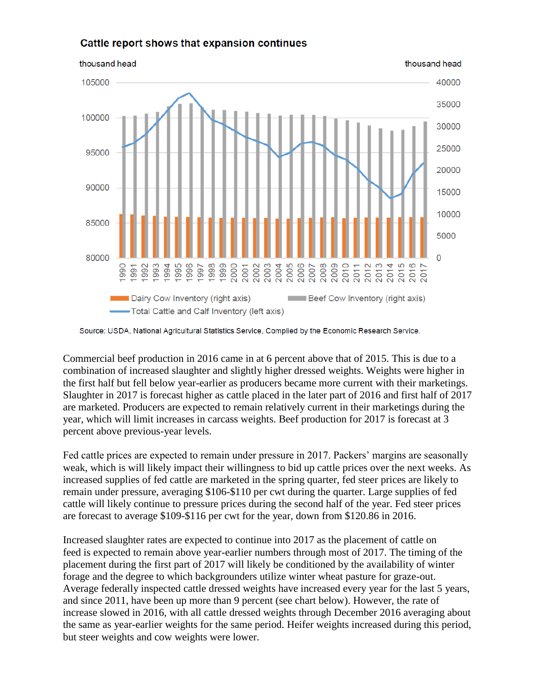### Cattle report shows that expansion continues



Source: USDA, National Agricultural Statistics Service, Complied by the Economic Research Service.

Commercial beef production in 2016 came in at 6 percent above that of 2015. This is due to a combination of increased slaughter and slightly higher dressed weights. Weights were higher in the first half but fell below year-earlier as producers became more current with their marketings. Slaughter in 2017 is forecast higher as cattle placed in the later part of 2016 and first half of 2017 are marketed. Producers are expected to remain relatively current in their marketings during the year, which will limit increases in carcass weights. Beef production for 2017 is forecast at 3 percent above previous-year levels.

Fed cattle prices are expected to remain under pressure in 2017. Packers' margins are seasonally weak, which is will likely impact their willingness to bid up cattle prices over the next weeks. As increased supplies of fed cattle are marketed in the spring quarter, fed steer prices are likely to remain under pressure, averaging \$106-\$110 per cwt during the quarter. Large supplies of fed cattle will likely continue to pressure prices during the second half of the year. Fed steer prices are forecast to average \$109-\$116 per cwt for the year, down from \$120.86 in 2016.

Increased slaughter rates are expected to continue into 2017 as the placement of cattle on feed is expected to remain above year-earlier numbers through most of 2017. The timing of the placement during the first part of 2017 will likely be conditioned by the availability of winter forage and the degree to which backgrounders utilize winter wheat pasture for graze-out. Average federally inspected cattle dressed weights have increased every year for the last 5 years, and since 2011, have been up more than 9 percent (see chart below). However, the rate of increase slowed in 2016, with all cattle dressed weights through December 2016 averaging about the same as year-earlier weights for the same period. Heifer weights increased during this period, but steer weights and cow weights were lower.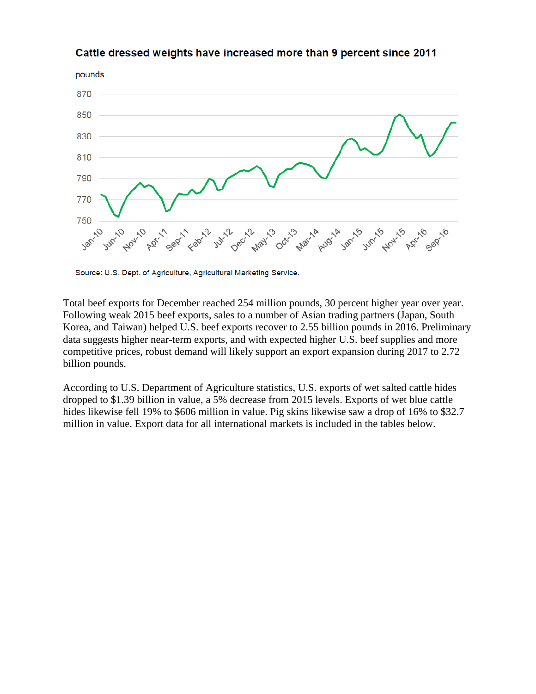

#### Cattle dressed weights have increased more than 9 percent since 2011

Source: U.S. Dept. of Agriculture, Agricultural Marketing Service.

Total beef exports for December reached 254 million pounds, 30 percent higher year over year. Following weak 2015 beef exports, sales to a number of Asian trading partners (Japan, South Korea, and Taiwan) helped U.S. beef exports recover to 2.55 billion pounds in 2016. Preliminary data suggests higher near-term exports, and with expected higher U.S. beef supplies and more competitive prices, robust demand will likely support an export expansion during 2017 to 2.72 billion pounds.

According to U.S. Department of Agriculture statistics, U.S. exports of wet salted cattle hides dropped to \$1.39 billion in value, a 5% decrease from 2015 levels. Exports of wet blue cattle hides likewise fell 19% to \$606 million in value. Pig skins likewise saw a drop of 16% to \$32.7 million in value. Export data for all international markets is included in the tables below.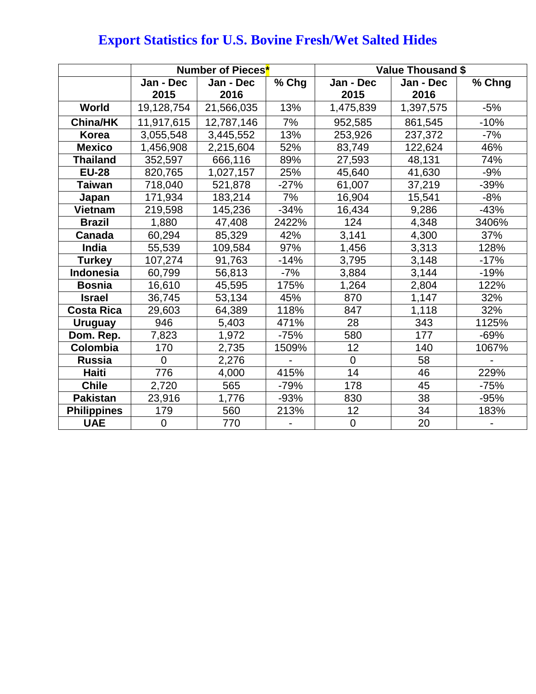|                    | Number of Pieces <sup>*</sup> |            |        | <b>Value Thousand \$</b> |           |        |  |
|--------------------|-------------------------------|------------|--------|--------------------------|-----------|--------|--|
|                    | Jan - Dec                     | Jan - Dec  | % Chg  | Jan - Dec                | Jan - Dec | % Chng |  |
|                    | 2015                          | 2016       |        | 2015                     | 2016      |        |  |
| World              | 19,128,754                    | 21,566,035 | 13%    | 1,475,839                | 1,397,575 | $-5%$  |  |
| <b>China/HK</b>    | 11,917,615                    | 12,787,146 | 7%     | 952,585                  | 861,545   | $-10%$ |  |
| <b>Korea</b>       | 3,055,548                     | 3,445,552  | 13%    | 253,926                  | 237,372   | -7%    |  |
| <b>Mexico</b>      | 1,456,908                     | 2,215,604  | 52%    | 83,749                   | 122,624   | 46%    |  |
| <b>Thailand</b>    | 352,597                       | 666,116    | 89%    | 27,593                   | 48,131    | 74%    |  |
| <b>EU-28</b>       | 820,765                       | 1,027,157  | 25%    | 45,640                   | 41,630    | $-9%$  |  |
| <b>Taiwan</b>      | 718,040                       | 521,878    | $-27%$ | 61,007                   | 37,219    | $-39%$ |  |
| Japan              | 171,934                       | 183,214    | 7%     | 16,904                   | 15,541    | $-8%$  |  |
| <b>Vietnam</b>     | 219,598                       | 145,236    | $-34%$ | 16,434                   | 9,286     | $-43%$ |  |
| <b>Brazil</b>      | 1,880                         | 47,408     | 2422%  | 124                      | 4,348     | 3406%  |  |
| <b>Canada</b>      | 60,294                        | 85,329     | 42%    | 3,141                    | 4,300     | 37%    |  |
| India              | 55,539                        | 109,584    | 97%    | 1,456                    | 3,313     | 128%   |  |
| <b>Turkey</b>      | 107,274                       | 91,763     | $-14%$ | 3,795                    | 3,148     | $-17%$ |  |
| <b>Indonesia</b>   | 60,799                        | 56,813     | $-7%$  | 3,884                    | 3,144     | $-19%$ |  |
| <b>Bosnia</b>      | 16,610                        | 45,595     | 175%   | 1,264                    | 2,804     | 122%   |  |
| <b>Israel</b>      | 36,745                        | 53,134     | 45%    | 870                      | 1,147     | 32%    |  |
| <b>Costa Rica</b>  | 29,603                        | 64,389     | 118%   | 847                      | 1,118     | 32%    |  |
| <b>Uruguay</b>     | 946                           | 5,403      | 471%   | 28                       | 343       | 1125%  |  |
| Dom. Rep.          | 7,823                         | 1,972      | $-75%$ | 580                      | 177       | $-69%$ |  |
| Colombia           | 170                           | 2,735      | 1509%  | 12                       | 140       | 1067%  |  |
| <b>Russia</b>      | $\Omega$                      | 2,276      |        | $\overline{0}$           | 58        |        |  |
| <b>Haiti</b>       | 776                           | 4,000      | 415%   | 14                       | 46        | 229%   |  |
| <b>Chile</b>       | 2,720                         | 565        | -79%   | 178                      | 45        | -75%   |  |
| <b>Pakistan</b>    | 23,916                        | 1,776      | $-93%$ | 830                      | 38        | $-95%$ |  |
| <b>Philippines</b> | 179                           | 560        | 213%   | 12                       | 34        | 183%   |  |
| <b>UAE</b>         | $\mathbf 0$                   | 770        |        | $\mathbf 0$              | 20        |        |  |

# **Export Statistics for U.S. Bovine Fresh/Wet Salted Hides**